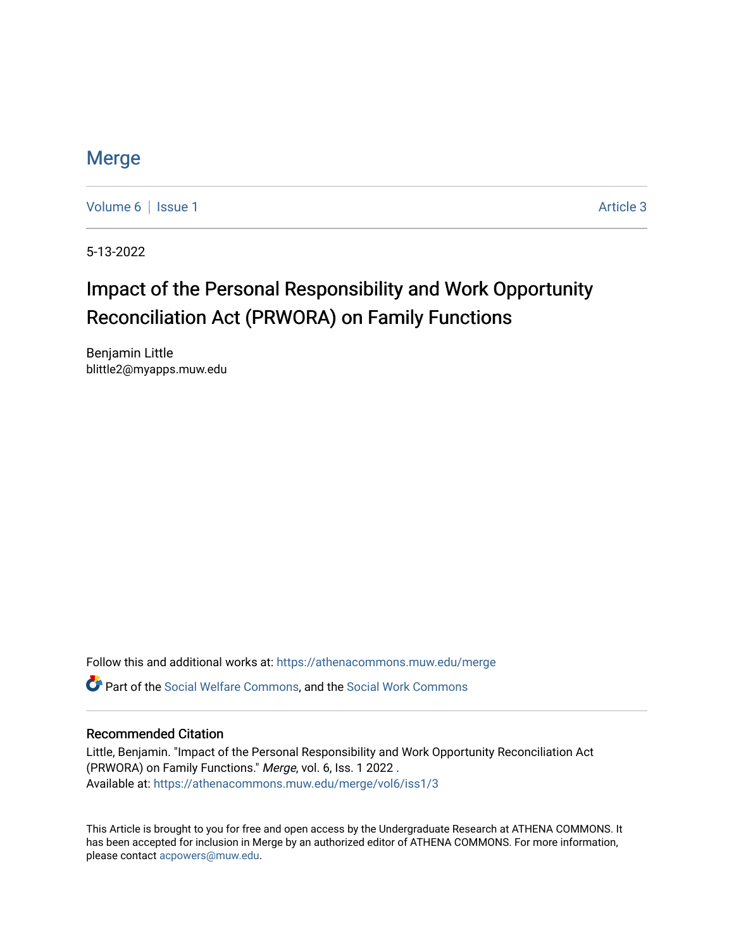### **[Merge](https://athenacommons.muw.edu/merge)**

[Volume 6](https://athenacommons.muw.edu/merge/vol6) | [Issue 1](https://athenacommons.muw.edu/merge/vol6/iss1) Article 3

5-13-2022

## Impact of the Personal Responsibility and Work Opportunity Reconciliation Act (PRWORA) on Family Functions

Benjamin Little blittle2@myapps.muw.edu

Follow this and additional works at: [https://athenacommons.muw.edu/merge](https://athenacommons.muw.edu/merge?utm_source=athenacommons.muw.edu%2Fmerge%2Fvol6%2Fiss1%2F3&utm_medium=PDF&utm_campaign=PDFCoverPages) 

Part of the [Social Welfare Commons](https://network.bepress.com/hgg/discipline/401?utm_source=athenacommons.muw.edu%2Fmerge%2Fvol6%2Fiss1%2F3&utm_medium=PDF&utm_campaign=PDFCoverPages), and the [Social Work Commons](https://network.bepress.com/hgg/discipline/713?utm_source=athenacommons.muw.edu%2Fmerge%2Fvol6%2Fiss1%2F3&utm_medium=PDF&utm_campaign=PDFCoverPages) 

#### Recommended Citation

Little, Benjamin. "Impact of the Personal Responsibility and Work Opportunity Reconciliation Act (PRWORA) on Family Functions." Merge, vol. 6, Iss. 1 2022 . Available at: [https://athenacommons.muw.edu/merge/vol6/iss1/3](https://athenacommons.muw.edu/merge/vol6/iss1/3?utm_source=athenacommons.muw.edu%2Fmerge%2Fvol6%2Fiss1%2F3&utm_medium=PDF&utm_campaign=PDFCoverPages) 

This Article is brought to you for free and open access by the Undergraduate Research at ATHENA COMMONS. It has been accepted for inclusion in Merge by an authorized editor of ATHENA COMMONS. For more information, please contact [acpowers@muw.edu](mailto:acpowers@muw.edu).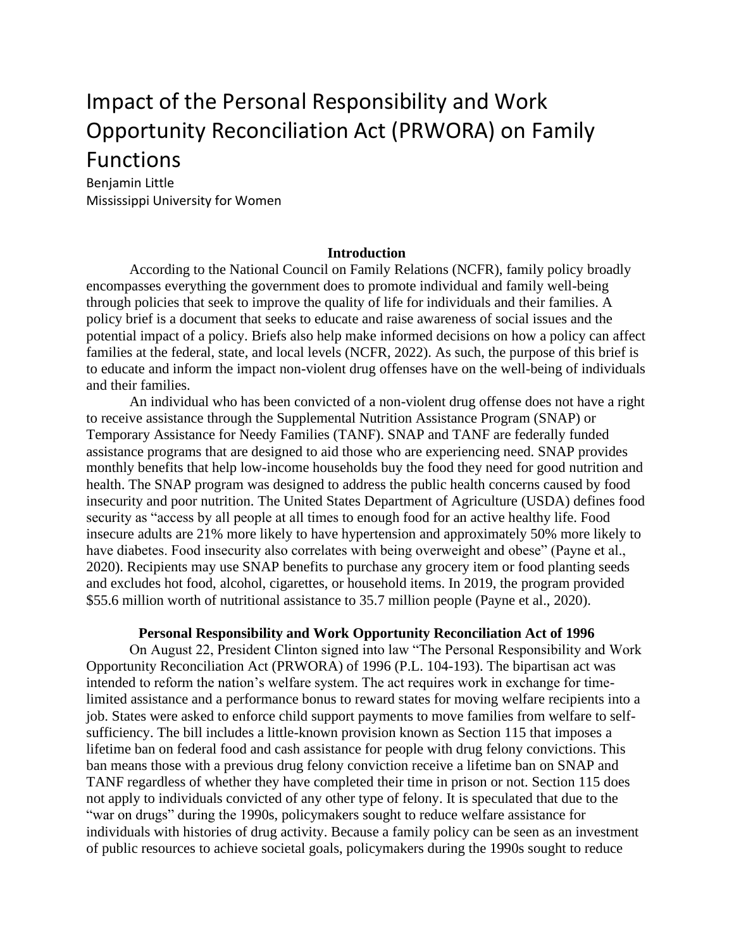# Impact of the Personal Responsibility and Work Opportunity Reconciliation Act (PRWORA) on Family **Functions**

Benjamin Little Mississippi University for Women

#### **Introduction**

According to the National Council on Family Relations (NCFR), family policy broadly encompasses everything the government does to promote individual and family well-being through policies that seek to improve the quality of life for individuals and their families. A policy brief is a document that seeks to educate and raise awareness of social issues and the potential impact of a policy. Briefs also help make informed decisions on how a policy can affect families at the federal, state, and local levels (NCFR, 2022). As such, the purpose of this brief is to educate and inform the impact non-violent drug offenses have on the well-being of individuals and their families.

An individual who has been convicted of a non-violent drug offense does not have a right to receive assistance through the Supplemental Nutrition Assistance Program (SNAP) or Temporary Assistance for Needy Families (TANF). SNAP and TANF are federally funded assistance programs that are designed to aid those who are experiencing need. SNAP provides monthly benefits that help low-income households buy the food they need for good nutrition and health. The SNAP program was designed to address the public health concerns caused by food insecurity and poor nutrition. The United States Department of Agriculture (USDA) defines food security as "access by all people at all times to enough food for an active healthy life. Food insecure adults are 21% more likely to have hypertension and approximately 50% more likely to have diabetes. Food insecurity also correlates with being overweight and obese" (Payne et al., 2020). Recipients may use SNAP benefits to purchase any grocery item or food planting seeds and excludes hot food, alcohol, cigarettes, or household items. In 2019, the program provided \$55.6 million worth of nutritional assistance to 35.7 million people (Payne et al., 2020).

#### **Personal Responsibility and Work Opportunity Reconciliation Act of 1996**

On August 22, President Clinton signed into law "The Personal Responsibility and Work Opportunity Reconciliation Act (PRWORA) of 1996 (P.L. 104-193). The bipartisan act was intended to reform the nation's welfare system. The act requires work in exchange for timelimited assistance and a performance bonus to reward states for moving welfare recipients into a job. States were asked to enforce child support payments to move families from welfare to selfsufficiency. The bill includes a little-known provision known as Section 115 that imposes a lifetime ban on federal food and cash assistance for people with drug felony convictions. This ban means those with a previous drug felony conviction receive a lifetime ban on SNAP and TANF regardless of whether they have completed their time in prison or not. Section 115 does not apply to individuals convicted of any other type of felony. It is speculated that due to the "war on drugs" during the 1990s, policymakers sought to reduce welfare assistance for individuals with histories of drug activity. Because a family policy can be seen as an investment of public resources to achieve societal goals, policymakers during the 1990s sought to reduce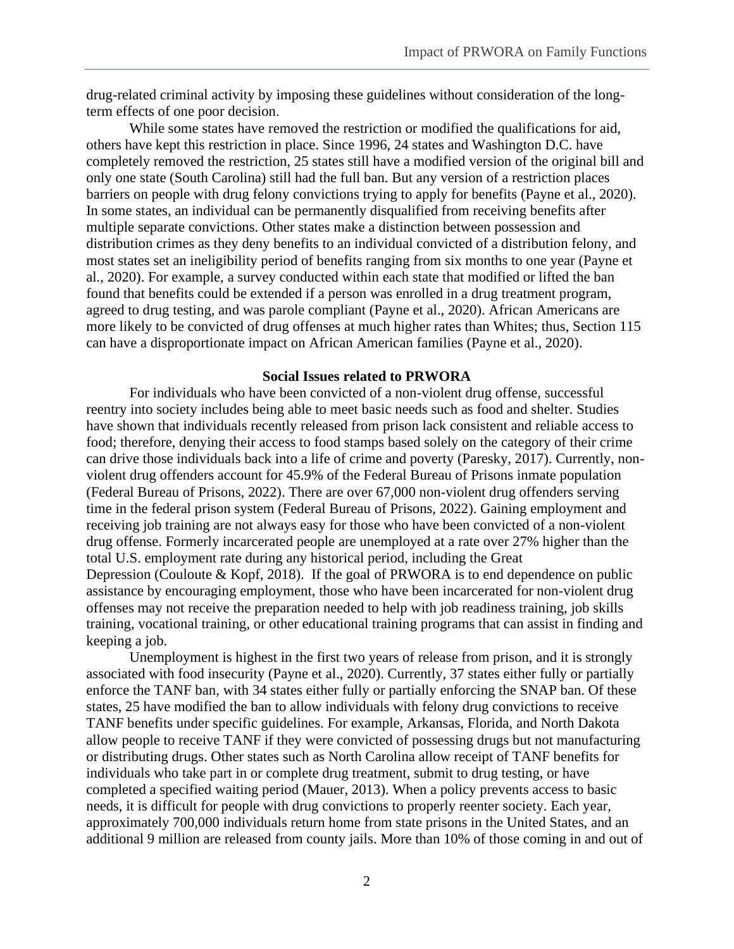drug-related criminal activity by imposing these guidelines without consideration of the longterm effects of one poor decision.

While some states have removed the restriction or modified the qualifications for aid, others have kept this restriction in place. Since 1996, 24 states and Washington D.C. have completely removed the restriction, 25 states still have a modified version of the original bill and only one state (South Carolina) still had the full ban. But any version of a restriction places barriers on people with drug felony convictions trying to apply for benefits (Payne et al., 2020). In some states, an individual can be permanently disqualified from receiving benefits after multiple separate convictions. Other states make a distinction between possession and distribution crimes as they deny benefits to an individual convicted of a distribution felony, and most states set an ineligibility period of benefits ranging from six months to one year (Payne et al., 2020). For example, a survey conducted within each state that modified or lifted the ban found that benefits could be extended if a person was enrolled in a drug treatment program, agreed to drug testing, and was parole compliant (Payne et al., 2020). African Americans are more likely to be convicted of drug offenses at much higher rates than Whites; thus, Section 115 can have a disproportionate impact on African American families (Payne et al., 2020).

#### **Social Issues related to PRWORA**

For individuals who have been convicted of a non-violent drug offense, successful reentry into society includes being able to meet basic needs such as food and shelter. Studies have shown that individuals recently released from prison lack consistent and reliable access to food; therefore, denying their access to food stamps based solely on the category of their crime can drive those individuals back into a life of crime and poverty (Paresky, 2017). Currently, nonviolent drug offenders account for 45.9% of the Federal Bureau of Prisons inmate population (Federal Bureau of Prisons, 2022). There are over 67,000 non-violent drug offenders serving time in the federal prison system (Federal Bureau of Prisons, 2022). Gaining employment and receiving job training are not always easy for those who have been convicted of a non-violent drug offense. Formerly incarcerated people are unemployed at a rate over 27% higher than the total U.S. employment rate during any historical period, including the Great Depression (Couloute & Kopf, 2018). If the goal of PRWORA is to end dependence on public assistance by encouraging employment, those who have been incarcerated for non-violent drug offenses may not receive the preparation needed to help with job readiness training, job skills training, vocational training, or other educational training programs that can assist in finding and keeping a job.

Unemployment is highest in the first two years of release from prison, and it is strongly associated with food insecurity (Payne et al., 2020). Currently, 37 states either fully or partially enforce the TANF ban, with 34 states either fully or partially enforcing the SNAP ban. Of these states, 25 have modified the ban to allow individuals with felony drug convictions to receive TANF benefits under specific guidelines. For example, Arkansas, Florida, and North Dakota allow people to receive TANF if they were convicted of possessing drugs but not manufacturing or distributing drugs. Other states such as North Carolina allow receipt of TANF benefits for individuals who take part in or complete drug treatment, submit to drug testing, or have completed a specified waiting period (Mauer, 2013). When a policy prevents access to basic needs, it is difficult for people with drug convictions to properly reenter society. Each year, approximately 700,000 individuals return home from state prisons in the United States, and an additional 9 million are released from county jails. More than 10% of those coming in and out of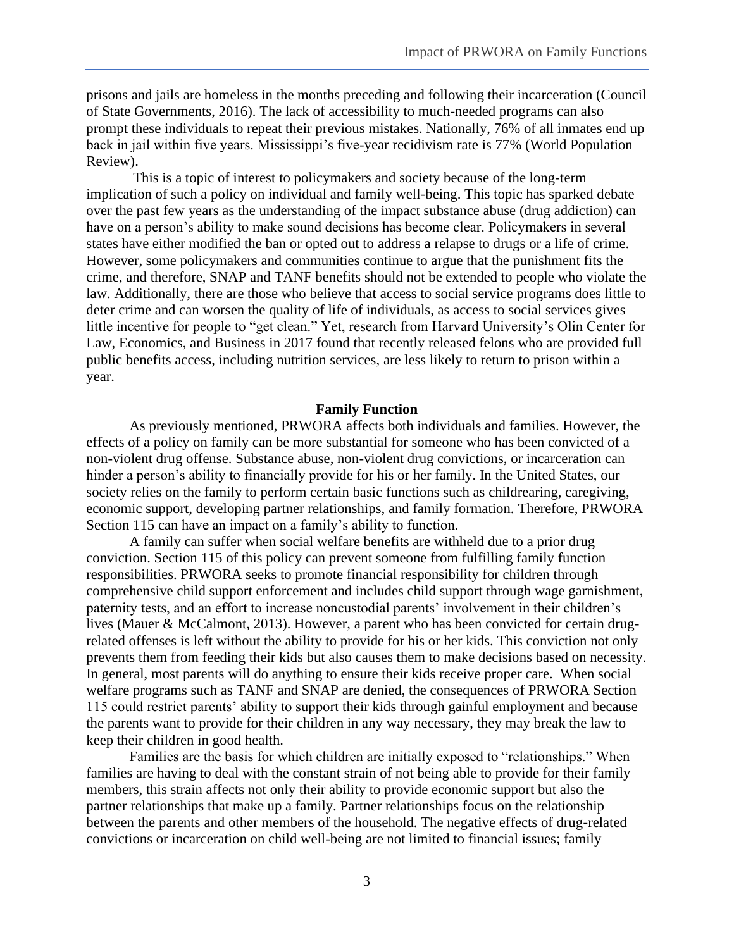prisons and jails are homeless in the months preceding and following their incarceration (Council of State Governments, 2016). The lack of accessibility to much-needed programs can also prompt these individuals to repeat their previous mistakes. Nationally, 76% of all inmates end up back in jail within five years. Mississippi's five-year recidivism rate is 77% (World Population Review).

This is a topic of interest to policymakers and society because of the long-term implication of such a policy on individual and family well-being. This topic has sparked debate over the past few years as the understanding of the impact substance abuse (drug addiction) can have on a person's ability to make sound decisions has become clear. Policymakers in several states have either modified the ban or opted out to address a relapse to drugs or a life of crime. However, some policymakers and communities continue to argue that the punishment fits the crime, and therefore, SNAP and TANF benefits should not be extended to people who violate the law. Additionally, there are those who believe that access to social service programs does little to deter crime and can worsen the quality of life of individuals, as access to social services gives little incentive for people to "get clean." Yet, research from Harvard University's Olin Center for Law, Economics, and Business in 2017 found that recently released felons who are provided full public benefits access, including nutrition services, are less likely to return to prison within a year.

#### **Family Function**

As previously mentioned, PRWORA affects both individuals and families. However, the effects of a policy on family can be more substantial for someone who has been convicted of a non-violent drug offense. Substance abuse, non-violent drug convictions, or incarceration can hinder a person's ability to financially provide for his or her family. In the United States, our society relies on the family to perform certain basic functions such as childrearing, caregiving, economic support, developing partner relationships, and family formation. Therefore, PRWORA Section 115 can have an impact on a family's ability to function.

A family can suffer when social welfare benefits are withheld due to a prior drug conviction. Section 115 of this policy can prevent someone from fulfilling family function responsibilities. PRWORA seeks to promote financial responsibility for children through comprehensive child support enforcement and includes child support through wage garnishment, paternity tests, and an effort to increase noncustodial parents' involvement in their children's lives (Mauer & McCalmont, 2013). However, a parent who has been convicted for certain drugrelated offenses is left without the ability to provide for his or her kids. This conviction not only prevents them from feeding their kids but also causes them to make decisions based on necessity. In general, most parents will do anything to ensure their kids receive proper care. When social welfare programs such as TANF and SNAP are denied, the consequences of PRWORA Section 115 could restrict parents' ability to support their kids through gainful employment and because the parents want to provide for their children in any way necessary, they may break the law to keep their children in good health.

Families are the basis for which children are initially exposed to "relationships." When families are having to deal with the constant strain of not being able to provide for their family members, this strain affects not only their ability to provide economic support but also the partner relationships that make up a family. Partner relationships focus on the relationship between the parents and other members of the household. The negative effects of drug-related convictions or incarceration on child well-being are not limited to financial issues; family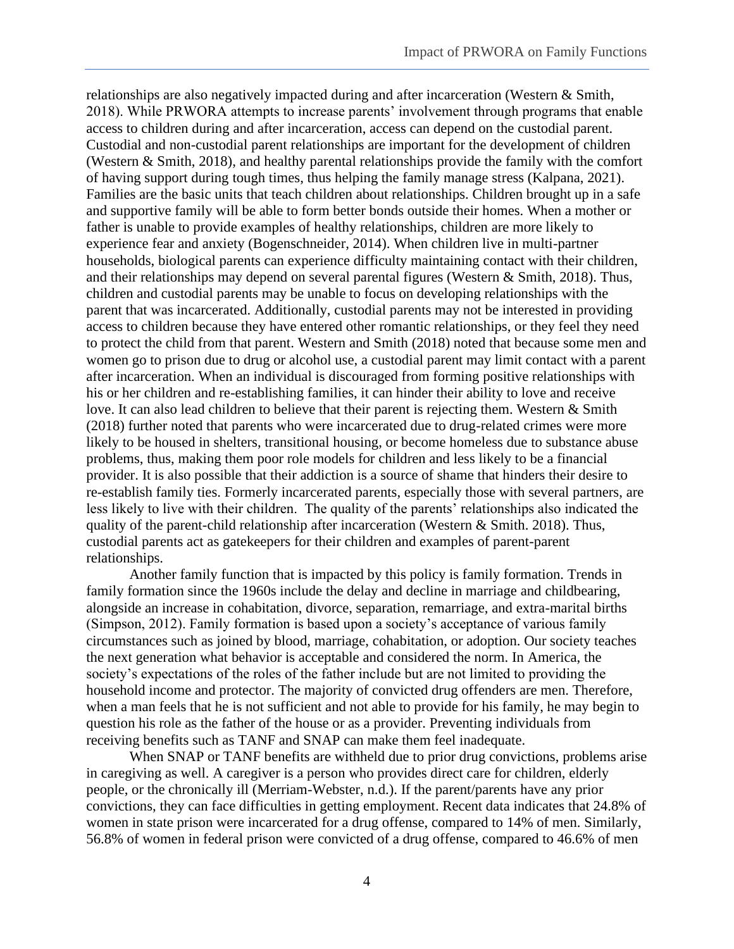relationships are also negatively impacted during and after incarceration (Western & Smith, 2018). While PRWORA attempts to increase parents' involvement through programs that enable access to children during and after incarceration, access can depend on the custodial parent. Custodial and non-custodial parent relationships are important for the development of children (Western & Smith, 2018), and healthy parental relationships provide the family with the comfort of having support during tough times, thus helping the family manage stress (Kalpana, 2021). Families are the basic units that teach children about relationships. Children brought up in a safe and supportive family will be able to form better bonds outside their homes. When a mother or father is unable to provide examples of healthy relationships, children are more likely to experience fear and anxiety (Bogenschneider, 2014). When children live in multi-partner households, biological parents can experience difficulty maintaining contact with their children, and their relationships may depend on several parental figures (Western & Smith, 2018). Thus, children and custodial parents may be unable to focus on developing relationships with the parent that was incarcerated. Additionally, custodial parents may not be interested in providing access to children because they have entered other romantic relationships, or they feel they need to protect the child from that parent. Western and Smith (2018) noted that because some men and women go to prison due to drug or alcohol use, a custodial parent may limit contact with a parent after incarceration. When an individual is discouraged from forming positive relationships with his or her children and re-establishing families, it can hinder their ability to love and receive love. It can also lead children to believe that their parent is rejecting them. Western & Smith (2018) further noted that parents who were incarcerated due to drug-related crimes were more likely to be housed in shelters, transitional housing, or become homeless due to substance abuse problems, thus, making them poor role models for children and less likely to be a financial provider. It is also possible that their addiction is a source of shame that hinders their desire to re-establish family ties. Formerly incarcerated parents, especially those with several partners, are less likely to live with their children. The quality of the parents' relationships also indicated the quality of the parent-child relationship after incarceration (Western & Smith. 2018). Thus, custodial parents act as gatekeepers for their children and examples of parent-parent relationships.

Another family function that is impacted by this policy is family formation. Trends in family formation since the 1960s include the delay and decline in marriage and childbearing, alongside an increase in cohabitation, divorce, separation, remarriage, and extra-marital births (Simpson, 2012). Family formation is based upon a society's acceptance of various family circumstances such as joined by blood, marriage, cohabitation, or adoption. Our society teaches the next generation what behavior is acceptable and considered the norm. In America, the society's expectations of the roles of the father include but are not limited to providing the household income and protector. The majority of convicted drug offenders are men. Therefore, when a man feels that he is not sufficient and not able to provide for his family, he may begin to question his role as the father of the house or as a provider. Preventing individuals from receiving benefits such as TANF and SNAP can make them feel inadequate.

When SNAP or TANF benefits are withheld due to prior drug convictions, problems arise in caregiving as well. A caregiver is a person who provides direct care for children, elderly people, or the chronically ill (Merriam-Webster, n.d.). If the parent/parents have any prior convictions, they can face difficulties in getting employment. Recent data indicates that 24.8% of women in state prison were incarcerated for a drug offense, compared to 14% of men. Similarly, 56.8% of women in federal prison were convicted of a drug offense, compared to 46.6% of men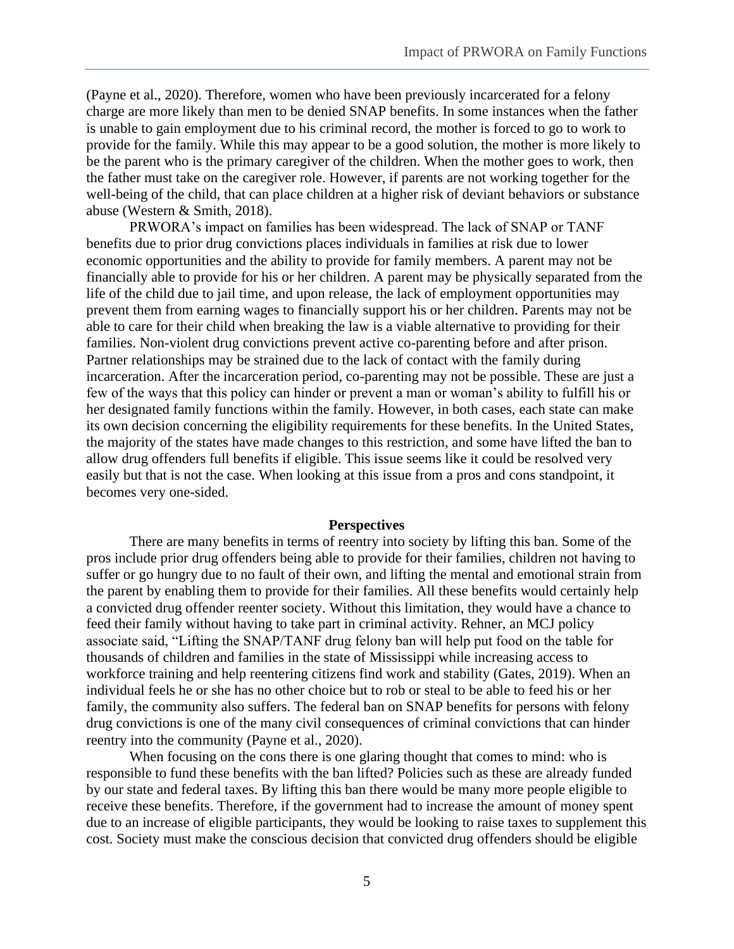(Payne et al., 2020). Therefore, women who have been previously incarcerated for a felony charge are more likely than men to be denied SNAP benefits. In some instances when the father is unable to gain employment due to his criminal record, the mother is forced to go to work to provide for the family. While this may appear to be a good solution, the mother is more likely to be the parent who is the primary caregiver of the children. When the mother goes to work, then the father must take on the caregiver role. However, if parents are not working together for the well-being of the child, that can place children at a higher risk of deviant behaviors or substance abuse (Western & Smith, 2018).

PRWORA's impact on families has been widespread. The lack of SNAP or TANF benefits due to prior drug convictions places individuals in families at risk due to lower economic opportunities and the ability to provide for family members. A parent may not be financially able to provide for his or her children. A parent may be physically separated from the life of the child due to jail time, and upon release, the lack of employment opportunities may prevent them from earning wages to financially support his or her children. Parents may not be able to care for their child when breaking the law is a viable alternative to providing for their families. Non-violent drug convictions prevent active co-parenting before and after prison. Partner relationships may be strained due to the lack of contact with the family during incarceration. After the incarceration period, co-parenting may not be possible. These are just a few of the ways that this policy can hinder or prevent a man or woman's ability to fulfill his or her designated family functions within the family. However, in both cases, each state can make its own decision concerning the eligibility requirements for these benefits. In the United States, the majority of the states have made changes to this restriction, and some have lifted the ban to allow drug offenders full benefits if eligible. This issue seems like it could be resolved very easily but that is not the case. When looking at this issue from a pros and cons standpoint, it becomes very one-sided.

#### **Perspectives**

There are many benefits in terms of reentry into society by lifting this ban. Some of the pros include prior drug offenders being able to provide for their families, children not having to suffer or go hungry due to no fault of their own, and lifting the mental and emotional strain from the parent by enabling them to provide for their families. All these benefits would certainly help a convicted drug offender reenter society. Without this limitation, they would have a chance to feed their family without having to take part in criminal activity. Rehner, an MCJ policy associate said, "Lifting the SNAP/TANF drug felony ban will help put food on the table for thousands of children and families in the state of Mississippi while increasing access to workforce training and help reentering citizens find work and stability (Gates, 2019). When an individual feels he or she has no other choice but to rob or steal to be able to feed his or her family, the community also suffers. The federal ban on SNAP benefits for persons with felony drug convictions is one of the many civil consequences of criminal convictions that can hinder reentry into the community (Payne et al., 2020).

When focusing on the cons there is one glaring thought that comes to mind: who is responsible to fund these benefits with the ban lifted? Policies such as these are already funded by our state and federal taxes. By lifting this ban there would be many more people eligible to receive these benefits. Therefore, if the government had to increase the amount of money spent due to an increase of eligible participants, they would be looking to raise taxes to supplement this cost. Society must make the conscious decision that convicted drug offenders should be eligible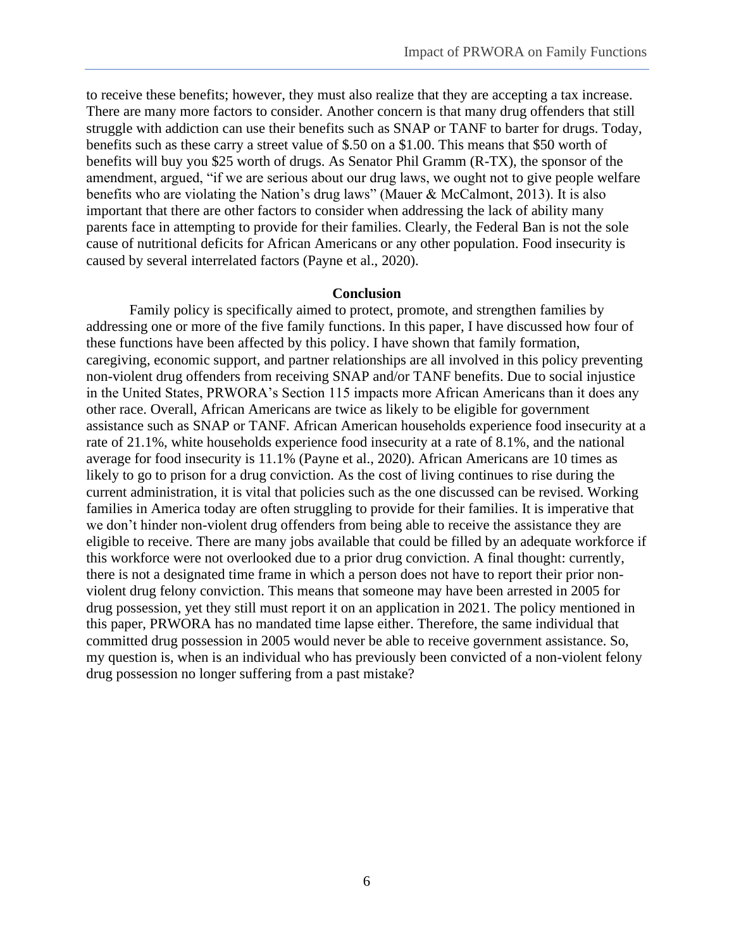to receive these benefits; however, they must also realize that they are accepting a tax increase. There are many more factors to consider. Another concern is that many drug offenders that still struggle with addiction can use their benefits such as SNAP or TANF to barter for drugs. Today, benefits such as these carry a street value of \$.50 on a \$1.00. This means that \$50 worth of benefits will buy you \$25 worth of drugs. As Senator Phil Gramm (R-TX), the sponsor of the amendment, argued, "if we are serious about our drug laws, we ought not to give people welfare benefits who are violating the Nation's drug laws" (Mauer & McCalmont, 2013). It is also important that there are other factors to consider when addressing the lack of ability many parents face in attempting to provide for their families. Clearly, the Federal Ban is not the sole cause of nutritional deficits for African Americans or any other population. Food insecurity is caused by several interrelated factors (Payne et al., 2020).

#### **Conclusion**

Family policy is specifically aimed to protect, promote, and strengthen families by addressing one or more of the five family functions. In this paper, I have discussed how four of these functions have been affected by this policy. I have shown that family formation, caregiving, economic support, and partner relationships are all involved in this policy preventing non-violent drug offenders from receiving SNAP and/or TANF benefits. Due to social injustice in the United States, PRWORA's Section 115 impacts more African Americans than it does any other race. Overall, African Americans are twice as likely to be eligible for government assistance such as SNAP or TANF. African American households experience food insecurity at a rate of 21.1%, white households experience food insecurity at a rate of 8.1%, and the national average for food insecurity is 11.1% (Payne et al., 2020). African Americans are 10 times as likely to go to prison for a drug conviction. As the cost of living continues to rise during the current administration, it is vital that policies such as the one discussed can be revised. Working families in America today are often struggling to provide for their families. It is imperative that we don't hinder non-violent drug offenders from being able to receive the assistance they are eligible to receive. There are many jobs available that could be filled by an adequate workforce if this workforce were not overlooked due to a prior drug conviction. A final thought: currently, there is not a designated time frame in which a person does not have to report their prior nonviolent drug felony conviction. This means that someone may have been arrested in 2005 for drug possession, yet they still must report it on an application in 2021. The policy mentioned in this paper, PRWORA has no mandated time lapse either. Therefore, the same individual that committed drug possession in 2005 would never be able to receive government assistance. So, my question is, when is an individual who has previously been convicted of a non-violent felony drug possession no longer suffering from a past mistake?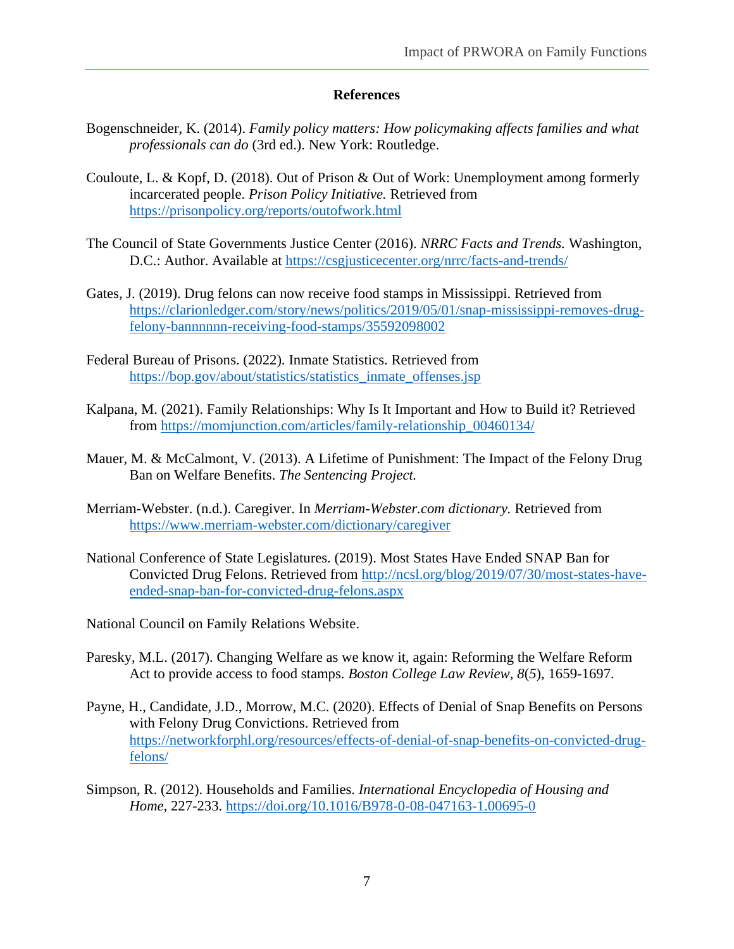#### **References**

- Bogenschneider, K. (2014). *Family policy matters: How policymaking affects families and what professionals can do* (3rd ed.). New York: Routledge.
- Couloute, L. & Kopf, D. (2018). Out of Prison & Out of Work: Unemployment among formerly incarcerated people. *Prison Policy Initiative.* Retrieved from <https://prisonpolicy.org/reports/outofwork.html>
- The Council of State Governments Justice Center (2016). *NRRC Facts and Trends.* Washington, D.C.: Author. Available at [https://csgjusticecenter.org/nrrc/facts-and-trends/](about:blank)
- Gates, J. (2019). Drug felons can now receive food stamps in Mississippi. Retrieved from [https://clarionledger.com/story/news/politics/2019/05/01/snap-mississippi-removes-drug](about:blank)[felony-bannnnnn-receiving-food-stamps/35592098002](about:blank)
- Federal Bureau of Prisons. (2022). Inmate Statistics. Retrieved from [https://bop.gov/about/statistics/statistics\\_inmate\\_offenses.jsp](about:blank)
- Kalpana, M. (2021). Family Relationships: Why Is It Important and How to Build it? Retrieved from [https://momjunction.com/articles/family-relationship\\_00460134/](about:blank)
- Mauer, M. & McCalmont, V. (2013). A Lifetime of Punishment: The Impact of the Felony Drug Ban on Welfare Benefits. *The Sentencing Project.*
- Merriam-Webster. (n.d.). Caregiver. In *Merriam-Webster.com dictionary.* Retrieved from [https://www.merriam-webster.com/dictionary/caregiver](about:blank)
- National Conference of State Legislatures. (2019). Most States Have Ended SNAP Ban for Convicted Drug Felons. Retrieved from [http://ncsl.org/blog/2019/07/30/most-states-have](about:blank)[ended-snap-ban-for-convicted-drug-felons.aspx](about:blank)
- National Council on Family Relations Website.
- Paresky, M.L. (2017). Changing Welfare as we know it, again: Reforming the Welfare Reform Act to provide access to food stamps. *Boston College Law Review, 8*(*5*), 1659-1697.
- Payne, H., Candidate, J.D., Morrow, M.C. (2020). Effects of Denial of Snap Benefits on Persons with Felony Drug Convictions. Retrieved from [https://networkforphl.org/resources/effects-of-denial-of-snap-benefits-on-convicted-drug](about:blank)[felons/](about:blank)
- Simpson, R. (2012). Households and Families. *International Encyclopedia of Housing and Home,* 227-233. [https://doi.org/10.1016/B978-0-08-047163-1.00695-0](about:blank)